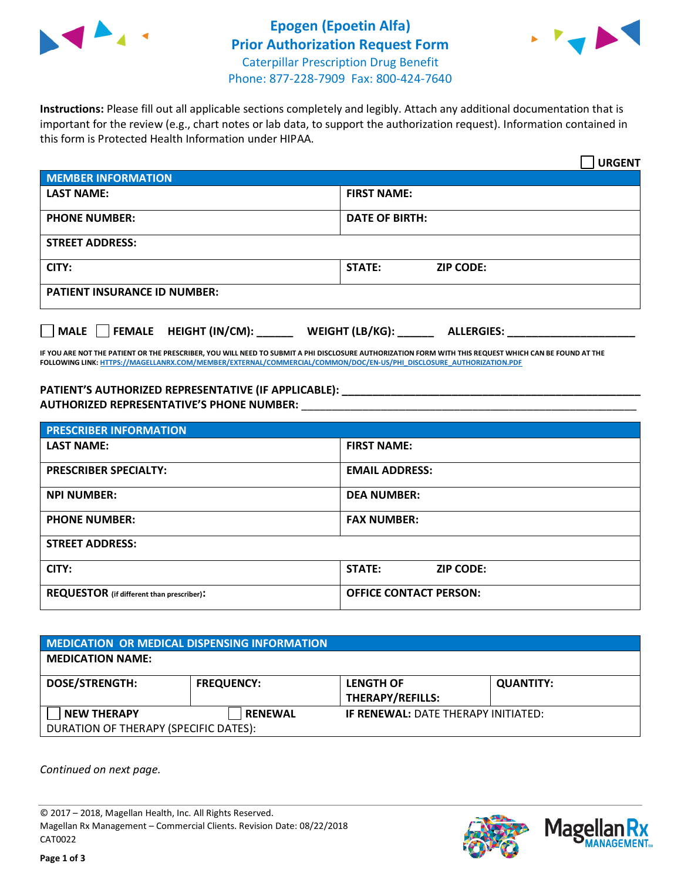



**Instructions:** Please fill out all applicable sections completely and legibly. Attach any additional documentation that is important for the review (e.g., chart notes or lab data, to support the authorization request). Information contained in this form is Protected Health Information under HIPAA.

|                                            | <b>URGENT</b>                        |  |  |
|--------------------------------------------|--------------------------------------|--|--|
| <b>MEMBER INFORMATION</b>                  |                                      |  |  |
| <b>LAST NAME:</b>                          | <b>FIRST NAME:</b>                   |  |  |
| <b>PHONE NUMBER:</b>                       | <b>DATE OF BIRTH:</b>                |  |  |
| <b>STREET ADDRESS:</b>                     |                                      |  |  |
| CITY:                                      | STATE:<br><b>ZIP CODE:</b>           |  |  |
| <b>PATIENT INSURANCE ID NUMBER:</b>        |                                      |  |  |
| FEMALE HEIGHT (IN/CM):<br>$ $ MALE $ $ $ $ | WEIGHT (LB/KG):<br><b>ALLERGIES:</b> |  |  |

**IF YOU ARE NOT THE PATIENT OR THE PRESCRIBER, YOU WILL NEED TO SUBMIT A PHI DISCLOSURE AUTHORIZATION FORM WITH THIS REQUEST WHICH CAN BE FOUND AT THE FOLLOWING LINK[: HTTPS://MAGELLANRX.COM/MEMBER/EXTERNAL/COMMERCIAL/COMMON/DOC/EN-US/PHI\\_DISCLOSURE\\_AUTHORIZATION.PDF](https://magellanrx.com/member/external/commercial/common/doc/en-us/PHI_Disclosure_Authorization.pdf)**

PATIENT'S AUTHORIZED REPRESENTATIVE (IF APPLICABLE): **AUTHORIZED REPRESENTATIVE'S PHONE NUMBER:** \_\_\_\_\_\_\_\_\_\_\_\_\_\_\_\_\_\_\_\_\_\_\_\_\_\_\_\_\_\_\_\_\_\_\_\_\_\_\_\_\_\_\_\_\_\_\_\_\_\_\_\_\_\_\_

| <b>PRESCRIBER INFORMATION</b>             |                               |  |  |  |
|-------------------------------------------|-------------------------------|--|--|--|
| <b>LAST NAME:</b>                         | <b>FIRST NAME:</b>            |  |  |  |
| <b>PRESCRIBER SPECIALTY:</b>              | <b>EMAIL ADDRESS:</b>         |  |  |  |
| <b>NPI NUMBER:</b>                        | <b>DEA NUMBER:</b>            |  |  |  |
| <b>PHONE NUMBER:</b>                      | <b>FAX NUMBER:</b>            |  |  |  |
| <b>STREET ADDRESS:</b>                    |                               |  |  |  |
| CITY:                                     | STATE:<br><b>ZIP CODE:</b>    |  |  |  |
| REQUESTOR (if different than prescriber): | <b>OFFICE CONTACT PERSON:</b> |  |  |  |

| <b>MEDICATION OR MEDICAL DISPENSING INFORMATION</b> |                   |                                             |                  |  |
|-----------------------------------------------------|-------------------|---------------------------------------------|------------------|--|
| <b>MEDICATION NAME:</b>                             |                   |                                             |                  |  |
| <b>DOSE/STRENGTH:</b>                               | <b>FREQUENCY:</b> | <b>LENGTH OF</b><br><b>THERAPY/REFILLS:</b> | <b>QUANTITY:</b> |  |
| <b>NEW THERAPY</b>                                  | <b>RENEWAL</b>    | <b>IF RENEWAL: DATE THERAPY INITIATED:</b>  |                  |  |
| DURATION OF THERAPY (SPECIFIC DATES):               |                   |                                             |                  |  |

*Continued on next page.*

© 2017 – 2018, Magellan Health, Inc. All Rights Reserved. Magellan Rx Management – Commercial Clients. Revision Date: 08/22/2018 CAT0022



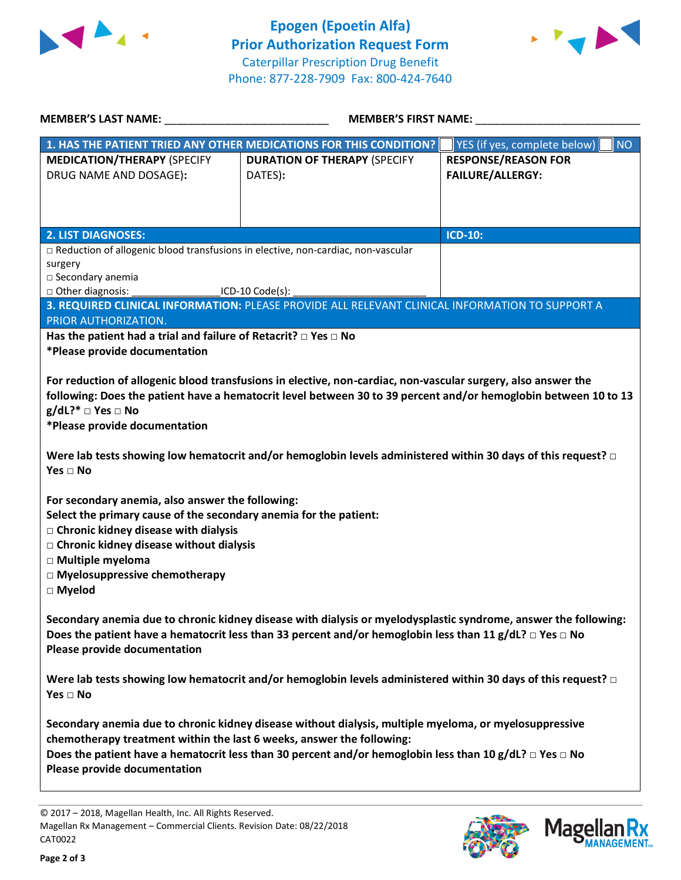



| <b>MEMBER'S LAST NAME:</b>                                                                                                                                                                                                                                                                          | <b>MEMBER'S FIRST NAME:</b>                                                                     |                                           |  |  |
|-----------------------------------------------------------------------------------------------------------------------------------------------------------------------------------------------------------------------------------------------------------------------------------------------------|-------------------------------------------------------------------------------------------------|-------------------------------------------|--|--|
|                                                                                                                                                                                                                                                                                                     | 1. HAS THE PATIENT TRIED ANY OTHER MEDICATIONS FOR THIS CONDITION?                              | YES (if yes, complete below)<br><b>NO</b> |  |  |
| <b>MEDICATION/THERAPY (SPECIFY</b>                                                                                                                                                                                                                                                                  | <b>DURATION OF THERAPY (SPECIFY</b>                                                             | <b>RESPONSE/REASON FOR</b>                |  |  |
| DRUG NAME AND DOSAGE):                                                                                                                                                                                                                                                                              | DATES):                                                                                         | <b>FAILURE/ALLERGY:</b>                   |  |  |
|                                                                                                                                                                                                                                                                                                     |                                                                                                 |                                           |  |  |
|                                                                                                                                                                                                                                                                                                     |                                                                                                 |                                           |  |  |
| <b>2. LIST DIAGNOSES:</b>                                                                                                                                                                                                                                                                           |                                                                                                 | <b>ICD-10:</b>                            |  |  |
| □ Reduction of allogenic blood transfusions in elective, non-cardiac, non-vascular                                                                                                                                                                                                                  |                                                                                                 |                                           |  |  |
| surgery<br>□ Secondary anemia                                                                                                                                                                                                                                                                       |                                                                                                 |                                           |  |  |
| □ Other diagnosis:<br>$ICD-10 Code(s):$                                                                                                                                                                                                                                                             |                                                                                                 |                                           |  |  |
|                                                                                                                                                                                                                                                                                                     | 3. REQUIRED CLINICAL INFORMATION: PLEASE PROVIDE ALL RELEVANT CLINICAL INFORMATION TO SUPPORT A |                                           |  |  |
| PRIOR AUTHORIZATION.                                                                                                                                                                                                                                                                                |                                                                                                 |                                           |  |  |
| Has the patient had a trial and failure of Retacrit? $\Box$ Yes $\Box$ No<br>*Please provide documentation                                                                                                                                                                                          |                                                                                                 |                                           |  |  |
|                                                                                                                                                                                                                                                                                                     |                                                                                                 |                                           |  |  |
| For reduction of allogenic blood transfusions in elective, non-cardiac, non-vascular surgery, also answer the<br>following: Does the patient have a hematocrit level between 30 to 39 percent and/or hemoglobin between 10 to 13<br>$g/dL$ ?* $\Box$ Yes $\Box$ No<br>*Please provide documentation |                                                                                                 |                                           |  |  |
| Were lab tests showing low hematocrit and/or hemoglobin levels administered within 30 days of this request? $\Box$<br>Yes $\Box$ No                                                                                                                                                                 |                                                                                                 |                                           |  |  |
| For secondary anemia, also answer the following:                                                                                                                                                                                                                                                    |                                                                                                 |                                           |  |  |
| Select the primary cause of the secondary anemia for the patient:                                                                                                                                                                                                                                   |                                                                                                 |                                           |  |  |
| □ Chronic kidney disease with dialysis                                                                                                                                                                                                                                                              |                                                                                                 |                                           |  |  |
| □ Chronic kidney disease without dialysis<br>□ Multiple myeloma                                                                                                                                                                                                                                     |                                                                                                 |                                           |  |  |
| $\Box$ Myelosuppressive chemotherapy                                                                                                                                                                                                                                                                |                                                                                                 |                                           |  |  |
| □ Myelod                                                                                                                                                                                                                                                                                            |                                                                                                 |                                           |  |  |
| Secondary anemia due to chronic kidney disease with dialysis or myelodysplastic syndrome, answer the following:<br>Does the patient have a hematocrit less than 33 percent and/or hemoglobin less than 11 g/dL? $\Box$ Yes $\Box$ No<br>Please provide documentation                                |                                                                                                 |                                           |  |  |
| Were lab tests showing low hematocrit and/or hemoglobin levels administered within 30 days of this request? $\square$<br>Yes $\Box$ No                                                                                                                                                              |                                                                                                 |                                           |  |  |
| Secondary anemia due to chronic kidney disease without dialysis, multiple myeloma, or myelosuppressive<br>chemotherapy treatment within the last 6 weeks, answer the following:                                                                                                                     |                                                                                                 |                                           |  |  |
| Does the patient have a hematocrit less than 30 percent and/or hemoglobin less than 10 g/dL? $\Box$ Yes $\Box$ No<br>Please provide documentation                                                                                                                                                   |                                                                                                 |                                           |  |  |

© 2017 – 2018, Magellan Health, Inc. All Rights Reserved. Magellan Rx Management – Commercial Clients. Revision Date: 08/22/2018 CAT0022